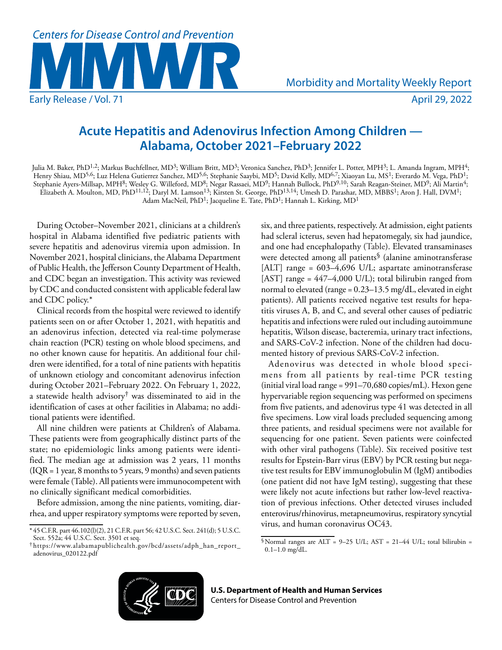

## **Acute Hepatitis and Adenovirus Infection Among Children — Alabama, October 2021–February 2022**

Julia M. Baker, PhD<sup>1,2</sup>; Markus Buchfellner, MD<sup>3</sup>; William Britt, MD<sup>3</sup>; Veronica Sanchez, PhD<sup>3</sup>; Jennifer L. Potter, MPH<sup>3</sup>; L. Amanda Ingram, MPH<sup>4</sup>; Henry Shiau, MD<sup>5,6</sup>; Luz Helena Gutierrez Sanchez, MD<sup>5,6</sup>; Stephanie Saaybi, MD<sup>5</sup>; David Kelly, MD<sup>6,7</sup>; Xiaoyan Lu, MS<sup>1</sup>; Everardo M. Vega, PhD<sup>1</sup>; Stephanie Ayers-Millsap, MPH<sup>8</sup>; Wesley G. Willeford, MD<sup>8</sup>; Negar Rassaei, MD<sup>9</sup>; Hannah Bullock, PhD<sup>9,10</sup>; Sarah Reagan-Steiner, MD<sup>9</sup>; Ali Martin<sup>4</sup>; Elizabeth A. Moulton, MD, PhD11,12; Daryl M. Lamson13; Kirsten St. George, PhD13,14; Umesh D. Parashar, MD, MBBS1; Aron J. Hall, DVM1; Adam MacNeil, PhD<sup>1</sup>; Jacqueline E. Tate, PhD<sup>1</sup>; Hannah L. Kirking, MD<sup>1</sup>

During October–November 2021, clinicians at a children's hospital in Alabama identified five pediatric patients with severe hepatitis and adenovirus viremia upon admission. In November 2021, hospital clinicians, the Alabama Department of Public Health, the Jefferson County Department of Health, and CDC began an investigation. This activity was reviewed by CDC and conducted consistent with applicable federal law and CDC policy.\*

Clinical records from the hospital were reviewed to identify patients seen on or after October 1, 2021, with hepatitis and an adenovirus infection, detected via real-time polymerase chain reaction (PCR) testing on whole blood specimens, and no other known cause for hepatitis. An additional four children were identified, for a total of nine patients with hepatitis of unknown etiology and concomitant adenovirus infection during October 2021–February 2022. On February 1, 2022, a statewide health advisory† was disseminated to aid in the identification of cases at other facilities in Alabama; no additional patients were identified.

All nine children were patients at Children's of Alabama. These patients were from geographically distinct parts of the state; no epidemiologic links among patients were identified. The median age at admission was 2 years, 11 months (IQR = 1 year, 8 months to 5 years, 9 months) and seven patients were female (Table). All patients were immunocompetent with no clinically significant medical comorbidities.

Before admission, among the nine patients, vomiting, diarrhea, and upper respiratory symptoms were reported by seven, six, and three patients, respectively. At admission, eight patients had scleral icterus, seven had hepatomegaly, six had jaundice, and one had encephalopathy (Table). Elevated transaminases were detected among all patients§ (alanine aminotransferase [ALT] range = 603-4,696 U/L; aspartate aminotransferase [AST] range = 447–4,000 U/L); total bilirubin ranged from normal to elevated (range = 0.23–13.5 mg/dL, elevated in eight patients). All patients received negative test results for hepatitis viruses A, B, and C, and several other causes of pediatric hepatitis and infections were ruled out including autoimmune hepatitis, Wilson disease, bacteremia, urinary tract infections, and SARS-CoV-2 infection. None of the children had documented history of previous SARS-CoV-2 infection.

Adenovirus was detected in whole blood specimens from all patients by real-time PCR testing (initial viral load range = 991–70,680 copies/mL). Hexon gene hypervariable region sequencing was performed on specimens from five patients, and adenovirus type 41 was detected in all five specimens. Low viral loads precluded sequencing among three patients, and residual specimens were not available for sequencing for one patient. Seven patients were coinfected with other viral pathogens (Table). Six received positive test results for Epstein-Barr virus (EBV) by PCR testing but negative test results for EBV immunoglobulin M (IgM) antibodies (one patient did not have IgM testing), suggesting that these were likely not acute infections but rather low-level reactivation of previous infections. Other detected viruses included enterovirus/rhinovirus, metapneumovirus, respiratory syncytial virus, and human coronavirus OC43.



<sup>\*</sup> 45 C.F.R. part 46.102(l)(2), 21 C.F.R. part 56; 42 U.S.C. Sect. 241(d); 5 U.S.C. Sect. 552a; 44 U.S.C. Sect. 3501 et seq.

<sup>†</sup> [https://www.alabamapublichealth.gov/bcd/assets/adph\\_han\\_report\\_](https://www.alabamapublichealth.gov/bcd/assets/adph_han_report_adenovirus_020122.pdf) [adenovirus\\_020122.pdf](https://www.alabamapublichealth.gov/bcd/assets/adph_han_report_adenovirus_020122.pdf)

<sup>§</sup>Normal ranges are ALT = 9–25 U/L; AST = 21–44 U/L; total bilirubin = 0.1–1.0 mg/dL.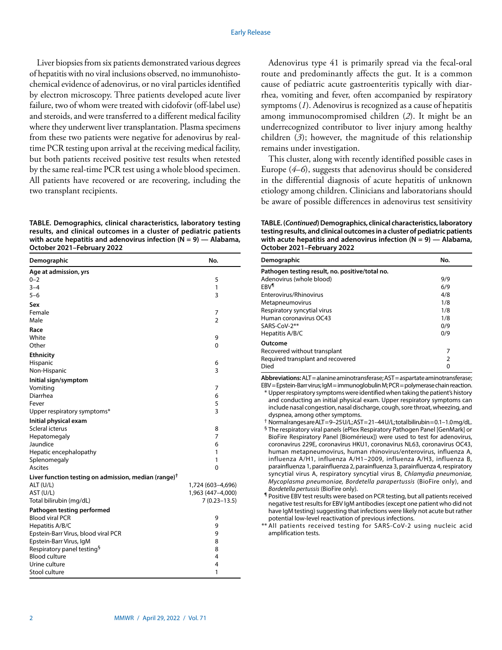Liver biopsies from six patients demonstrated various degrees of hepatitis with no viral inclusions observed, no immunohistochemical evidence of adenovirus, or no viral particles identified by electron microscopy. Three patients developed acute liver failure, two of whom were treated with cidofovir (off-label use) and steroids, and were transferred to a different medical facility where they underwent liver transplantation. Plasma specimens from these two patients were negative for adenovirus by realtime PCR testing upon arrival at the receiving medical facility, but both patients received positive test results when retested by the same real-time PCR test using a whole blood specimen. All patients have recovered or are recovering, including the two transplant recipients.

**TABLE. Demographics, clinical characteristics, laboratory testing results, and clinical outcomes in a cluster of pediatric patients with acute hepatitis and adenovirus infection (N = 9) — Alabama, October 2021–February 2022**

| Demographic                                                      | No.                                    |
|------------------------------------------------------------------|----------------------------------------|
| Age at admission, yrs                                            |                                        |
| $0 - 2$                                                          | 5                                      |
| $3 - 4$                                                          | 1                                      |
| $5 - 6$                                                          | 3                                      |
| Sex                                                              |                                        |
| Female                                                           | 7                                      |
| Male                                                             | 2                                      |
| Race                                                             |                                        |
| White<br>Other                                                   | 9<br>0                                 |
|                                                                  |                                        |
| <b>Ethnicity</b>                                                 |                                        |
| Hispanic<br>Non-Hispanic                                         | 6<br>3                                 |
|                                                                  |                                        |
| Initial sign/symptom<br>Vomiting                                 | 7                                      |
| Diarrhea                                                         | 6                                      |
| Fever                                                            | 5                                      |
| Upper respiratory symptoms*                                      | 3                                      |
| Initial physical exam                                            |                                        |
| Scleral icterus                                                  | 8                                      |
| Hepatomegaly                                                     | 7                                      |
| Jaundice                                                         | 6                                      |
| Hepatic encephalopathy                                           | 1                                      |
| Splenomegaly                                                     | 1                                      |
| Ascites                                                          | 0                                      |
| Liver function testing on admission, median (range) <sup>†</sup> |                                        |
| ALT (U/L)<br>AST (U/L)                                           | 1,724 (603-4,696)<br>1,963 (447-4,000) |
| Total bilirubin (mg/dL)                                          | $7(0.23 - 13.5)$                       |
| Pathogen testing performed                                       |                                        |
| <b>Blood viral PCR</b>                                           | 9                                      |
| Hepatitis A/B/C                                                  | 9                                      |
| Epstein-Barr Virus, blood viral PCR                              | 9                                      |
| Epstein-Barr Virus, IgM                                          | 8                                      |
| Respiratory panel testing <sup>§</sup>                           | 8                                      |
| <b>Blood culture</b>                                             | 4                                      |
| Urine culture                                                    | 4                                      |
| Stool culture                                                    | 1                                      |

Adenovirus type 41 is primarily spread via the fecal-oral route and predominantly affects the gut. It is a common cause of pediatric acute gastroenteritis typically with diarrhea, vomiting and fever, often accompanied by respiratory symptoms (*1*). Adenovirus is recognized as a cause of hepatitis among immunocompromised children (*2*). It might be an underrecognized contributor to liver injury among healthy children (*3*); however, the magnitude of this relationship remains under investigation.

This cluster, along with recently identified possible cases in Europe (*4*–*6*), suggests that adenovirus should be considered in the differential diagnosis of acute hepatitis of unknown etiology among children. Clinicians and laboratorians should be aware of possible differences in adenovirus test sensitivity

**TABLE. (***Continued***) Demographics, clinical characteristics, laboratory testing results, and clinical outcomes in a cluster of pediatric patients with acute hepatitis and adenovirus infection (N = 9) — Alabama, October 2021–February 2022**

| Demographic                                     | No. |
|-------------------------------------------------|-----|
| Pathogen testing result, no. positive/total no. |     |
| Adenovirus (whole blood)                        | 9/9 |
| FRV <sup>1</sup>                                | 6/9 |
| Enterovirus/Rhinovirus                          | 4/8 |
| Metapneumovirus                                 | 1/8 |
| Respiratory syncytial virus                     | 1/8 |
| Human coronavirus OC43                          | 1/8 |
| SARS-CoV-2**                                    | 0/9 |
| Hepatitis A/B/C                                 | 0/9 |
| Outcome                                         |     |
| Recovered without transplant                    | 7   |
| Required transplant and recovered               | 2   |
| Died                                            | 0   |

**Abbreviations:** ALT = alanine aminotransferase; AST = aspartate aminotransferase; EBV = Epstein-Barr virus; IgM = immunoglobulin M; PCR = polymerase chain reaction.

\* Upper respiratory symptoms were identified when taking the patient's history and conducting an initial physical exam. Upper respiratory symptoms can include nasal congestion, nasal discharge, cough, sore throat, wheezing, and dyspnea, among other symptoms.

† Normal ranges are ALT = 9–25 U/L; AST = 21–44 U/L; total bilirubin = 0.1–1.0 mg/dL. § The respiratory viral panels (ePlex Respiratory Pathogen Panel [GenMark] or BioFire Respiratory Panel [Biomérieux]) were used to test for adenovirus, coronavirus 229E, coronavirus HKU1, coronavirus NL63, coronavirus OC43, human metapneumovirus, human rhinovirus/enterovirus, influenza A, influenza A/H1, influenza A/H1–2009, influenza A/H3, influenza B, parainfluenza 1, parainfluenza 2, parainfluenza 3, parainfluenza 4, respiratory syncytial virus A, respiratory syncytial virus B, *Chlamydia pneumoniae, Mycoplasma pneumoniae, Bordetella parapertussis* (BioFire only), and *Bordetella pertussis* (BioFire only).

¶ Positive EBV test results were based on PCR testing, but all patients received negative test results for EBV IgM antibodies (except one patient who did not have IgM testing) suggesting that infections were likely not acute but rather potential low-level reactivation of previous infections.

\*\* All patients received testing for SARS-CoV-2 using nucleic acid amplification tests.